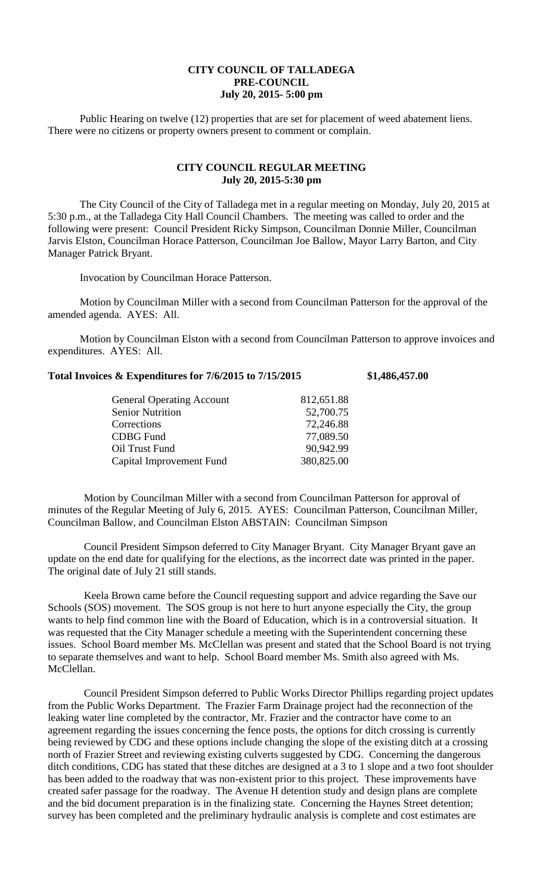## **CITY COUNCIL OF TALLADEGA PRE-COUNCIL July 20, 2015- 5:00 pm**

Public Hearing on twelve (12) properties that are set for placement of weed abatement liens. There were no citizens or property owners present to comment or complain.

## **CITY COUNCIL REGULAR MEETING July 20, 2015-5:30 pm**

The City Council of the City of Talladega met in a regular meeting on Monday, July 20, 2015 at 5:30 p.m., at the Talladega City Hall Council Chambers. The meeting was called to order and the following were present: Council President Ricky Simpson, Councilman Donnie Miller, Councilman Jarvis Elston, Councilman Horace Patterson, Councilman Joe Ballow, Mayor Larry Barton, and City Manager Patrick Bryant.

Invocation by Councilman Horace Patterson.

Motion by Councilman Miller with a second from Councilman Patterson for the approval of the amended agenda. AYES: All.

Motion by Councilman Elston with a second from Councilman Patterson to approve invoices and expenditures. AYES: All.

| Total Invoices & Expenditures for 7/6/2015 to 7/15/2015 | \$1,486,457.00 |
|---------------------------------------------------------|----------------|
|---------------------------------------------------------|----------------|

| <b>General Operating Account</b> | 812,651.88 |
|----------------------------------|------------|
| <b>Senior Nutrition</b>          | 52,700.75  |
| Corrections                      | 72,246.88  |
| <b>CDBG</b> Fund                 | 77,089.50  |
| Oil Trust Fund                   | 90,942.99  |
| Capital Improvement Fund         | 380,825.00 |

Motion by Councilman Miller with a second from Councilman Patterson for approval of minutes of the Regular Meeting of July 6, 2015. AYES: Councilman Patterson, Councilman Miller, Councilman Ballow, and Councilman Elston ABSTAIN: Councilman Simpson

Council President Simpson deferred to City Manager Bryant. City Manager Bryant gave an update on the end date for qualifying for the elections, as the incorrect date was printed in the paper. The original date of July 21 still stands.

Keela Brown came before the Council requesting support and advice regarding the Save our Schools (SOS) movement. The SOS group is not here to hurt anyone especially the City, the group wants to help find common line with the Board of Education, which is in a controversial situation. It was requested that the City Manager schedule a meeting with the Superintendent concerning these issues. School Board member Ms. McClellan was present and stated that the School Board is not trying to separate themselves and want to help. School Board member Ms. Smith also agreed with Ms. McClellan.

Council President Simpson deferred to Public Works Director Phillips regarding project updates from the Public Works Department. The Frazier Farm Drainage project had the reconnection of the leaking water line completed by the contractor, Mr. Frazier and the contractor have come to an agreement regarding the issues concerning the fence posts, the options for ditch crossing is currently being reviewed by CDG and these options include changing the slope of the existing ditch at a crossing north of Frazier Street and reviewing existing culverts suggested by CDG. Concerning the dangerous ditch conditions, CDG has stated that these ditches are designed at a 3 to 1 slope and a two foot shoulder has been added to the roadway that was non-existent prior to this project. These improvements have created safer passage for the roadway. The Avenue H detention study and design plans are complete and the bid document preparation is in the finalizing state. Concerning the Haynes Street detention; survey has been completed and the preliminary hydraulic analysis is complete and cost estimates are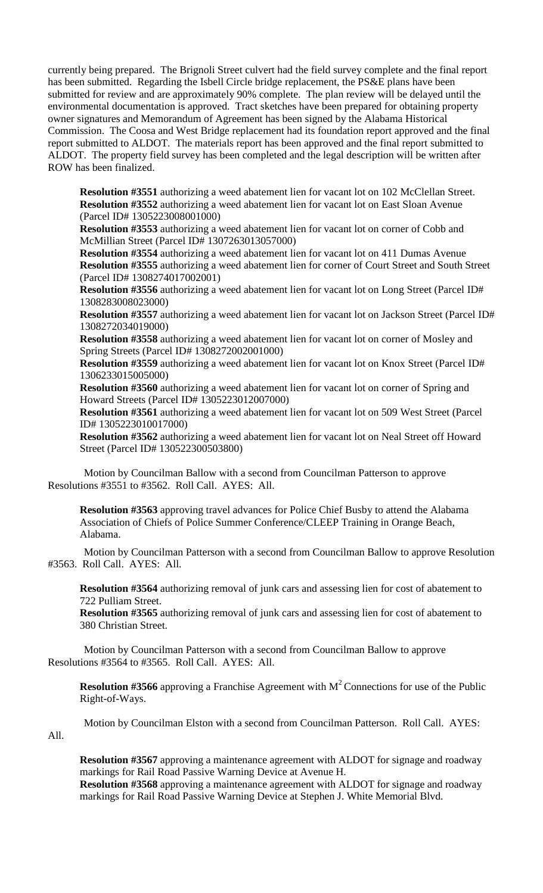currently being prepared. The Brignoli Street culvert had the field survey complete and the final report has been submitted. Regarding the Isbell Circle bridge replacement, the PS&E plans have been submitted for review and are approximately 90% complete. The plan review will be delayed until the environmental documentation is approved. Tract sketches have been prepared for obtaining property owner signatures and Memorandum of Agreement has been signed by the Alabama Historical Commission. The Coosa and West Bridge replacement had its foundation report approved and the final report submitted to ALDOT. The materials report has been approved and the final report submitted to ALDOT. The property field survey has been completed and the legal description will be written after ROW has been finalized.

**Resolution #3551** authorizing a weed abatement lien for vacant lot on 102 McClellan Street. **Resolution #3552** authorizing a weed abatement lien for vacant lot on East Sloan Avenue (Parcel ID# 1305223008001000)

**Resolution #3553** authorizing a weed abatement lien for vacant lot on corner of Cobb and McMillian Street (Parcel ID# 1307263013057000)

**Resolution #3554** authorizing a weed abatement lien for vacant lot on 411 Dumas Avenue **Resolution #3555** authorizing a weed abatement lien for corner of Court Street and South Street (Parcel ID# 1308274017002001)

**Resolution #3556** authorizing a weed abatement lien for vacant lot on Long Street (Parcel ID# 1308283008023000)

**Resolution #3557** authorizing a weed abatement lien for vacant lot on Jackson Street (Parcel ID# 1308272034019000)

**Resolution #3558** authorizing a weed abatement lien for vacant lot on corner of Mosley and Spring Streets (Parcel ID# 1308272002001000)

**Resolution #3559** authorizing a weed abatement lien for vacant lot on Knox Street (Parcel ID# 1306233015005000)

**Resolution #3560** authorizing a weed abatement lien for vacant lot on corner of Spring and Howard Streets (Parcel ID# 1305223012007000)

**Resolution #3561** authorizing a weed abatement lien for vacant lot on 509 West Street (Parcel ID# 1305223010017000)

**Resolution #3562** authorizing a weed abatement lien for vacant lot on Neal Street off Howard Street (Parcel ID# 130522300503800)

Motion by Councilman Ballow with a second from Councilman Patterson to approve Resolutions #3551 to #3562. Roll Call. AYES: All.

**Resolution #3563** approving travel advances for Police Chief Busby to attend the Alabama Association of Chiefs of Police Summer Conference/CLEEP Training in Orange Beach, Alabama.

Motion by Councilman Patterson with a second from Councilman Ballow to approve Resolution #3563. Roll Call. AYES: All.

**Resolution #3564** authorizing removal of junk cars and assessing lien for cost of abatement to 722 Pulliam Street.

**Resolution #3565** authorizing removal of junk cars and assessing lien for cost of abatement to 380 Christian Street.

Motion by Councilman Patterson with a second from Councilman Ballow to approve Resolutions #3564 to #3565. Roll Call. AYES: All.

**Resolution #3566** approving a Franchise Agreement with  $M^2$  Connections for use of the Public Right-of-Ways.

Motion by Councilman Elston with a second from Councilman Patterson. Roll Call. AYES:

All.

**Resolution #3567** approving a maintenance agreement with ALDOT for signage and roadway markings for Rail Road Passive Warning Device at Avenue H.

**Resolution #3568** approving a maintenance agreement with ALDOT for signage and roadway markings for Rail Road Passive Warning Device at Stephen J. White Memorial Blvd.